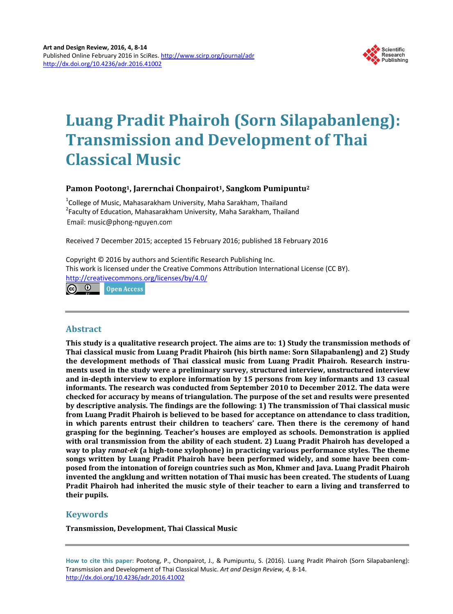

# **Luang Pradit Phairoh (Sorn Silapabanleng): Transmission and Development of Thai Classical Music**

# **Pamon Pootong1, Jarernchai Chonpairot1, Sangkom Pumipuntu2**

<sup>1</sup>College of Music, Mahasarakham University, Maha Sarakham, Thailand<br><sup>2</sup>Eaculty of Education, Mahasarakham University, Maha Sarakham, Thail  $2$ Faculty of Education, Mahasarakham University, Maha Sarakham, Thailand Email: music@phong-nguyen.com

Received 7 December 2015; accepted 15 February 2016; published 18 February 2016

Copyright © 2016 by authors and Scientific Research Publishing Inc. This work is licensed under the Creative Commons Attribution International License (CC BY). <http://creativecommons.org/licenses/by/4.0/> <u>ල 0</u>

Open Access

# **Abstract**

**This study is a qualitative research project. The aims are to: 1) Study the transmission methods of Thai classical music from Luang Pradit Phairoh (his birth name: Sorn Silapabanleng) and 2) Study the development methods of Thai classical music from Luang Pradit Phairoh. Research instruments used in the study were a preliminary survey, structured interview, unstructured interview and in-depth interview to explore information by 15 persons from key informants and 13 casual informants. The research was conducted from September 2010 to December 2012. The data were checked for accuracy by means of triangulation. The purpose of the set and results were presented by descriptive analysis. The findings are the following: 1) The transmission of Thai classical music from Luang Pradit Phairoh is believed to be based for acceptance on attendance to class tradition, in which parents entrust their children to teachers' care. Then there is the ceremony of hand grasping for the beginning. Teacher's houses are employed as schools. Demonstration is applied with oral transmission from the ability of each student. 2) Luang Pradit Phairoh has developed a way to play** *ranat-ek* **(a high-tone xylophone) in practicing various performance styles. The theme songs written by Luang Pradit Phairoh have been performed widely, and some have been composed from the intonation of foreign countries such as Mon, Khmer and Java. Luang Pradit Phairoh invented the angklung and written notation of Thai music has been created. The students of Luang Pradit Phairoh had inherited the music style of their teacher to earn a living and transferred to their pupils.**

# **Keywords**

**Transmission, Development, Thai Classical Music**

**How to cite this paper:** Pootong, P., Chonpairot, J., & Pumipuntu, S. (2016). Luang Pradit Phairoh (Sorn Silapabanleng): Transmission and Development of Thai Classical Music. *Art and Design Review, 4,* 8-14. <http://dx.doi.org/10.4236/adr.2016.41002>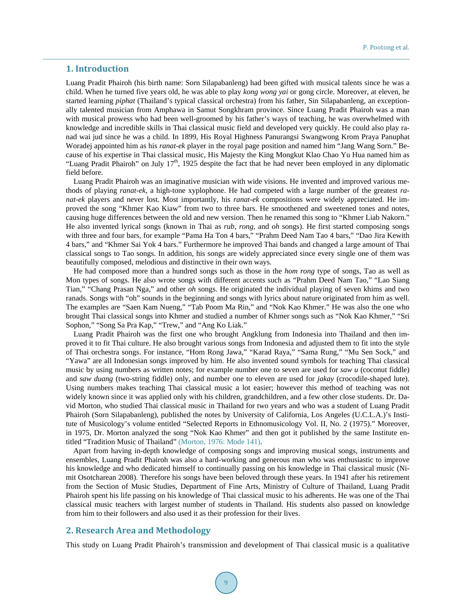### **1. Introduction**

Luang Pradit Phairoh (his birth name: Sorn Silapabanleng) had been gifted with musical talents since he was a child. When he turned five years old, he was able to play *kong wong yai* or gong circle. Moreover, at eleven, he started learning *piphat* (Thailand's typical classical orchestra) from his father, Sin Silapabanleng, an exceptionally talented musician from Amphawa in Samut Songkhram province. Since Luang Pradit Phairoh was a man with musical prowess who had been well-groomed by his father's ways of teaching, he was overwhelmed with knowledge and incredible skills in Thai classical music field and developed very quickly. He could also play ranad wai jud since he was a child. In 1899, His Royal Highness Panurangsi Swangwong Krom Praya Panuphat Woradej appointed him as his *ranat-ek* player in the royal page position and named him "Jang Wang Sorn." Because of his expertise in Thai classical music, His Majesty the King Mongkut Klao Chao Yu Hua named him as "Luang Pradit Phairoh" on July 17<sup>th</sup>, 1925 despite the fact that he had never been employed in any diplomatic field before.

Luang Pradit Phairoh was an imaginative musician with wide visions. He invented and improved various methods of playing *ranat-ek*, a high-tone xyplophone. He had competed with a large number of the greatest *ranat-ek* players and never lost. Most importantly, his *ranat-ek* compositions were widely appreciated. He improved the song "Khmer Kao Kiaw" from two to three bars. He smoothened and sweetened tones and notes, causing huge differences between the old and new version. Then he renamed this song to "Khmer Liab Nakorn." He also invented lyrical songs (known in Thai as *rub*, *rong*, and *oh* songs). He first started composing songs with three and four bars, for example "Pama Ha Ton 4 bars," "Prahm Deed Nam Tao 4 bars," "Dao Jira Kewith 4 bars," and "Khmer Sai Yok 4 bars." Furthermore he improved Thai bands and changed a large amount of Thai classical songs to Tao songs. In addition, his songs are widely appreciated since every single one of them was beautifully composed, melodious and distinctive in their own ways.

He had composed more than a hundred songs such as those in the *hom rong* type of songs, Tao as well as Mon types of songs. He also wrote songs with different accents such as "Prahm Deed Nam Tao," "Lao Siang Tian," "Chang Prasan Nga," and other *oh* songs. He originated the individual playing of seven khims and two ranads. Songs with "oh" sounds in the beginning and songs with lyrics about nature originated from him as well. The examples are "Saen Kam Nueng," "Tab Poom Ma Rin," and "Nok Kao Khmer." He was also the one who brought Thai classical songs into Khmer and studied a number of Khmer songs such as "Nok Kao Khmer," "Sri Sophon," "Song Sa Pra Kap," "Trew," and "Ang Ko Liak."

Luang Pradit Phairoh was the first one who brought Angklung from Indonesia into Thailand and then improved it to fit Thai culture. He also brought various songs from Indonesia and adjusted them to fit into the style of Thai orchestra songs. For instance, "Hom Rong Jawa," "Karad Raya," "Sama Rung," "Mu Sen Sock," and "Yawa" are all Indonesian songs improved by him. He also invented sound symbols for teaching Thai classical music by using numbers as written notes; for example number one to seven are used for *saw u* (coconut fiddle) and *saw duang* (two-string fiddle) only, and number one to eleven are used for *jakay* (crocodile-shaped lute). Using numbers makes teaching Thai classical music a lot easier; however this method of teaching was not widely known since it was applied only with his children, grandchildren, and a few other close students. Dr. David Morton, who studied Thai classical music in Thailand for two years and who was a student of Luang Pradit Phairoh (Sorn Silapabanleng), published the notes by University of California, Los Angeles (U.C.L.A.)'s Institute of Musicology's volume entitled "Selected Reports in Ethnomusicology Vol. II, No. 2 (1975)." Moreover, in 1975, Dr. Morton analyzed the song "Nok Kao Khmer" and then got it published by the same Institute entitled "Tradition Music of Thailand" [\(Morton, 1976: Mode 141\).](#page-5-0)

Apart from having in-depth knowledge of composing songs and improving musical songs, instruments and ensembles, Luang Pradit Phairoh was also a hard-working and generous man who was enthusiastic to improve his knowledge and who dedicated himself to continually passing on his knowledge in Thai classical music (Nimit Osotcharean 2008). Therefore his songs have been beloved through these years. In 1941 after his retirement from the Section of Music Studies, Department of Fine Arts, Ministry of Culture of Thailand, Luang Pradit Phairoh spent his life passing on his knowledge of Thai classical music to his adherents. He was one of the Thai classical music teachers with largest number of students in Thailand. His students also passed on knowledge from him to their followers and also used it as their profession for their lives.

## **2. Research Area and Methodology**

This study on Luang Pradit Phairoh's transmission and development of Thai classical music is a qualitative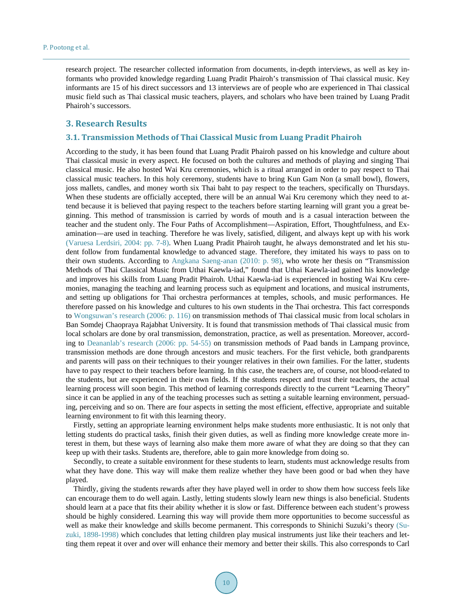research project. The researcher collected information from documents, in-depth interviews, as well as key informants who provided knowledge regarding Luang Pradit Phairoh's transmission of Thai classical music. Key informants are 15 of his direct successors and 13 interviews are of people who are experienced in Thai classical music field such as Thai classical music teachers, players, and scholars who have been trained by Luang Pradit Phairoh's successors.

### **3. Research Results**

#### **3.1. Transmission Methods of Thai Classical Music from Luang Pradit Phairoh**

According to the study, it has been found that Luang Pradit Phairoh passed on his knowledge and culture about Thai classical music in every aspect. He focused on both the cultures and methods of playing and singing Thai classical music. He also hosted Wai Kru ceremonies, which is a ritual arranged in order to pay respect to Thai classical music teachers. In this holy ceremony, students have to bring Kun Gam Non (a small bowl), flowers, joss mallets, candles, and money worth six Thai baht to pay respect to the teachers, specifically on Thursdays. When these students are officially accepted, there will be an annual Wai Kru ceremony which they need to attend because it is believed that paying respect to the teachers before starting learning will grant you a great beginning. This method of transmission is carried by words of mouth and is a casual interaction between the teacher and the student only. The Four Paths of Accomplishment—Aspiration, Effort, Thoughtfulness, and Examination—are used in teaching. Therefore he was lively, satisfied, diligent, and always kept up with his work [\(Varuesa Lerdsiri, 2004: pp.](#page-5-0) 7-8). When Luang Pradit Phairoh taught, he always demonstrated and let his student follow from fundamental knowledge to advanced stage. Therefore, they imitated his ways to pass on to their own students. According to [Angkana Saeng-anan \(2010: p. 98\),](#page-5-0) who wrote her thesis on "Transmission Methods of Thai Classical Music from Uthai Kaewla-iad," found that Uthai Kaewla-iad gained his knowledge and improves his skills from Luang Pradit Phairoh. Uthai Kaewla-iad is experienced in hosting Wai Kru ceremonies, managing the teaching and learning process such as equipment and locations, and musical instruments, and setting up obligations for Thai orchestra performances at temples, schools, and music performances. He therefore passed on his knowledge and cultures to his own students in the Thai orchestra. This fact corresponds to [Wongsuwan's research \(2006: p. 116\)](#page-6-0) on transmission methods of Thai classical music from local scholars in Ban Somdej Chaopraya Rajabhat University. It is found that transmission methods of Thai classical music from local scholars are done by oral transmission, demonstration, practice, as well as presentation. Moreover, according to [Deananlab's research \(2006: pp. 54-55\)](#page-5-0) on transmission methods of Paad bands in Lampang province, transmission methods are done through ancestors and music teachers. For the first vehicle, both grandparents and parents will pass on their techniques to their younger relatives in their own families. For the latter, students have to pay respect to their teachers before learning. In this case, the teachers are, of course, not blood-related to the students, but are experienced in their own fields. If the students respect and trust their teachers, the actual learning process will soon begin. This method of learning corresponds directly to the current "Learning Theory" since it can be applied in any of the teaching processes such as setting a suitable learning environment, persuading, perceiving and so on. There are four aspects in setting the most efficient, effective, appropriate and suitable learning environment to fit with this learning theory.

Firstly, setting an appropriate learning environment helps make students more enthusiastic. It is not only that letting students do practical tasks, finish their given duties, as well as finding more knowledge create more interest in them, but these ways of learning also make them more aware of what they are doing so that they can keep up with their tasks. Students are, therefore, able to gain more knowledge from doing so.

Secondly, to create a suitable environment for these students to learn, students must acknowledge results from what they have done. This way will make them realize whether they have been good or bad when they have played.

Thirdly, giving the students rewards after they have played well in order to show them how success feels like can encourage them to do well again. Lastly, letting students slowly learn new things is also beneficial. Students should learn at a pace that fits their ability whether it is slow or fast. Difference between each student's prowess should be highly considered. Learning this way will provide them more opportunities to become successful as well as make their knowledge and skills become permanent. This corresponds to Shinichi Suzuki's theory [\(Su](#page-6-0)zuki, [1898-1998\)](#page-6-0) which concludes that letting children play musical instruments just like their teachers and letting them repeat it over and over will enhance their memory and better their skills. This also corresponds to Carl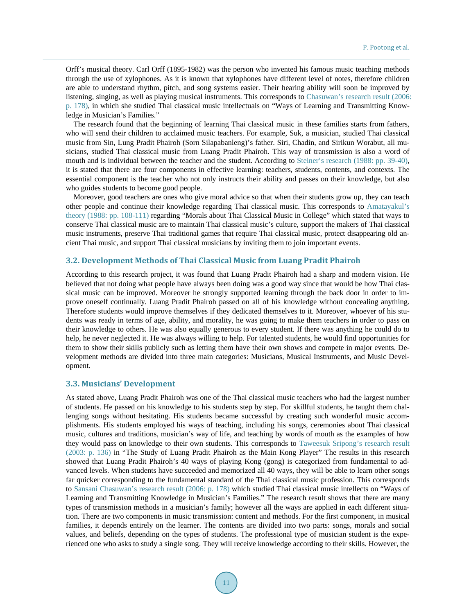Orff's musical theory. Carl Orff (1895-1982) was the person who invented his famous music teaching methods through the use of xylophones. As it is known that xylophones have different level of notes, therefore children are able to understand rhythm, pitch, and song systems easier. Their hearing ability will soon be improved by listening, singing, as well as playing musical instruments. This corresponds to [Chasuwan's research result \(2006:](#page-5-0)  [p. 178\),](#page-5-0) in which she studied Thai classical music intellectuals on "Ways of Learning and Transmitting Knowledge in Musician's Families."

The research found that the beginning of learning Thai classical music in these families starts from fathers, who will send their children to acclaimed music teachers. For example, Suk, a musician, studied Thai classical music from Sin, Lung Pradit Phairoh (Sorn Silapabanleng)'s father. Siri, Chadin, and Sirikun Worabut, all musicians, studied Thai classical music from Luang Pradit Phairoh. This way of transmission is also a word of mouth and is individual between the teacher and the student. According to [Steiner's research \(1988:](#page-6-0) pp. 39-40), it is stated that there are four components in effective learning: teachers, students, contents, and contexts. The essential component is the teacher who not only instructs their ability and passes on their knowledge, but also who guides students to become good people.

Moreover, good teachers are ones who give moral advice so that when their students grow up, they can teach other people and continue their knowledge regarding Thai classical music. This corresponds to [Amatayakul's](#page-5-0)  [theory \(1988: pp. 108-111\)](#page-5-0) regarding "Morals about Thai Classical Music in College" which stated that ways to conserve Thai classical music are to maintain Thai classical music's culture, support the makers of Thai classical music instruments, preserve Thai traditional games that require Thai classical music, protect disappearing old ancient Thai music, and support Thai classical musicians by inviting them to join important events.

#### **3.2. Development Methods of Thai Classical Music from Luang Pradit Phairoh**

According to this research project, it was found that Luang Pradit Phairoh had a sharp and modern vision. He believed that not doing what people have always been doing was a good way since that would be how Thai classical music can be improved. Moreover he strongly supported learning through the back door in order to improve oneself continually. Luang Pradit Phairoh passed on all of his knowledge without concealing anything. Therefore students would improve themselves if they dedicated themselves to it. Moreover, whoever of his students was ready in terms of age, ability, and morality, he was going to make them teachers in order to pass on their knowledge to others. He was also equally generous to every student. If there was anything he could do to help, he never neglected it. He was always willing to help. For talented students, he would find opportunities for them to show their skills publicly such as letting them have their own shows and compete in major events. Development methods are divided into three main categories: Musicians, Musical Instruments, and Music Development.

#### **3.3. Musicians' Development**

As stated above, Luang Pradit Phairoh was one of the Thai classical music teachers who had the largest number of students. He passed on his knowledge to his students step by step. For skillful students, he taught them challenging songs without hesitating. His students became successful by creating such wonderful music accomplishments. His students employed his ways of teaching, including his songs, ceremonies about Thai classical music, cultures and traditions, musician's way of life, and teaching by words of mouth as the examples of how they would pass on knowledge to their own students. This corresponds to [Taweesuk Sripong's research result](#page-5-0)  [\(2003: p.](#page-5-0) 136) in "The Study of Luang Pradit Phairoh as the Main Kong Player" The results in this research showed that Luang Pradit Phairoh's 40 ways of playing Kong (gong) is categorized from fundamental to advanced levels. When students have succeeded and memorized all 40 ways, they will be able to learn other songs far quicker corresponding to the fundamental standard of the Thai classical music profession. This corresponds to [Sansani Chasuwan's research](#page-5-0) result (2006: p. 178) which studied Thai classical music intellects on "Ways of Learning and Transmitting Knowledge in Musician's Families." The research result shows that there are many types of transmission methods in a musician's family; however all the ways are applied in each different situation. There are two components in music transmission: content and methods. For the first component, in musical families, it depends entirely on the learner. The contents are divided into two parts: songs, morals and social values, and beliefs, depending on the types of students. The professional type of musician student is the experienced one who asks to study a single song. They will receive knowledge according to their skills. However, the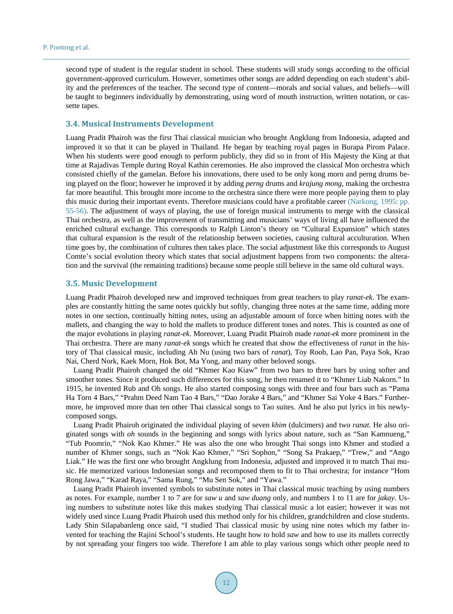second type of student is the regular student in school. These students will study songs according to the official government-approved curriculum. However, sometimes other songs are added depending on each student's ability and the preferences of the teacher. The second type of content—morals and social values, and beliefs—will be taught to beginners individually by demonstrating, using word of mouth instruction, written notation, or cassette tapes.

#### **3.4. Musical Instruments Development**

Luang Pradit Phairoh was the first Thai classical musician who brought Angklung from Indonesia, adapted and improved it so that it can be played in Thailand. He began by teaching royal pages in Burapa Pirom Palace. When his students were good enough to perform publicly, they did so in front of His Majesty the King at that time at Rajadivas Temple during Royal Kathin ceremonies. He also improved the classical Mon orchestra which consisted chiefly of the gamelan. Before his innovations, there used to be only kong morn and perng drums being played on the floor; however he improved it by adding *perng* drums and *krajung mong*, making the orchestra far more beautiful. This brought more income to the orchestra since there were more people paying them to play this music during their important events. Therefore musicians could have a profitable career [\(Narkong,](#page-5-0) 1995: pp. [55-56\).](#page-5-0) The adjustment of ways of playing, the use of foreign musical instruments to merge with the classical Thai orchestra, as well as the improvement of transmitting and musicians' ways of living all have influenced the enriched cultural exchange. This corresponds to Ralph Linton's theory on "Cultural Expansion" which states that cultural expansion is the result of the relationship between societies, causing cultural acculturation. When time goes by, the combination of cultures then takes place. The social adjustment like this corresponds to August Comte's social evolution theory which states that social adjustment happens from two components: the alteration and the survival (the remaining traditions) because some people still believe in the same old cultural ways.

#### **3.5. Music Development**

Luang Pradit Phairoh developed new and improved techniques from great teachers to play *ranat-ek*. The examples are constantly hitting the same notes quickly but softly, changing three notes at the same time, adding more notes in one section, continually hitting notes, using an adjustable amount of force when hitting notes with the mallets, and changing the way to hold the mallets to produce different tones and notes. This is counted as one of the major evolutions in playing *ranat-ek*. Moreover, Luang Pradit Phairoh made *ranat-ek* more prominent in the Thai orchestra. There are many *ranat-ek* songs which he created that show the effectiveness of *ranat* in the history of Thai classical music, including Ah Nu (using two bars of *ranat*), Toy Roob, Lao Pan, Paya Sok, Krao Nai, Cherd Nork, Kaek Morn, Hok Bot, Ma Yong, and many other beloved songs.

Luang Pradit Phairoh changed the old "Khmer Kao Kiaw" from two bars to three bars by using softer and smoother tones. Since it produced such differences for this song, he then renamed it to "Khmer Liab Nakorn." In 1915, he invented Rub and Oh songs. He also started composing songs with three and four bars such as "Pama Ha Torn 4 Bars," "Prahm Deed Nam Tao 4 Bars," "Dao Jorake 4 Bars," and "Khmer Sai Yoke 4 Bars." Furthermore, he improved more than ten other Thai classical songs to Tao suites. And he also put lyrics in his newlycomposed songs.

Luang Pradit Phairoh originated the individual playing of seven *khim* (dulcimers) and two *ranat*. He also originated songs with *oh* sounds in the beginning and songs with lyrics about nature, such as "San Kamnueng," "Tub Poomrin," "Nok Kao Khmer." He was also the one who brought Thai songs into Khmer and studied a number of Khmer songs, such as "Nok Kao Khmer," "Sri Sophon," "Song Sa Prakaep," "Trew," and "Ango Liak." He was the first one who brought Angklung from Indonesia, adjusted and improved it to match Thai music. He memorized various Indonesian songs and recomposed them to fit to Thai orchestra; for instance "Hom Rong Jawa," "Karad Raya," "Sama Rung," "Mu Sen Sok," and "Yawa."

Luang Pradit Phairoh invented symbols to substitute notes in Thai classical music teaching by using numbers as notes. For example, number 1 to 7 are for *saw u* and *saw duang* only, and numbers 1 to 11 are for *jakay*. Using numbers to substitute notes like this makes studying Thai classical music a lot easier; however it was not widely used since Luang Pradit Phairoh used this method only for his children, grandchildren and close students. Lady Shin Silapabanleng once said, "I studied Thai classical music by using nine notes which my father invented for teaching the Rajini School's students. He taught how to hold *saw* and how to use its mallets correctly by not spreading your fingers too wide. Therefore I am able to play various songs which other people need to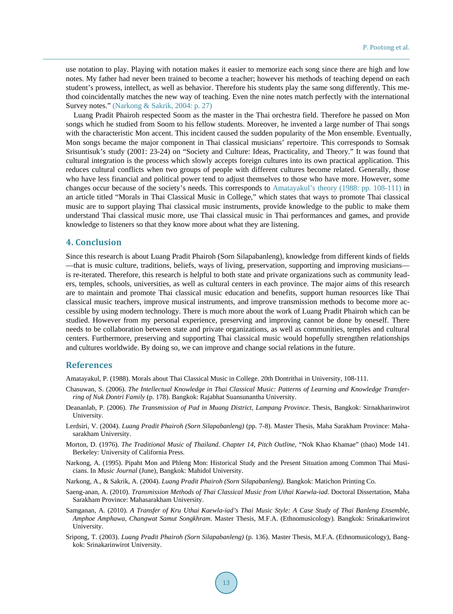use notation to play. Playing with notation makes it easier to memorize each song since there are high and low notes. My father had never been trained to become a teacher; however his methods of teaching depend on each student's prowess, intellect, as well as behavior. Therefore his students play the same song differently. This method coincidentally matches the new way of teaching. Even the nine notes match perfectly with the international Survey notes." (Narkong & [Sakrik, 2004: p. 27\)](#page-5-0)

Luang Pradit Phairoh respected Soom as the master in the Thai orchestra field. Therefore he passed on Mon songs which he studied from Soom to his fellow students. Moreover, he invented a large number of Thai songs with the characteristic Mon accent. This incident caused the sudden popularity of the Mon ensemble. Eventually, Mon songs became the major component in Thai classical musicians' repertoire. This corresponds to Somsak Srisuntisuk's study (2001: 23-24) on "Society and Culture: Ideas, Practicality, and Theory." It was found that cultural integration is the process which slowly accepts foreign cultures into its own practical application. This reduces cultural conflicts when two groups of people with different cultures become related. Generally, those who have less financial and political power tend to adjust themselves to those who have more. However, some changes occur because of the society's needs. This corresponds to [Amatayakul's theory \(1988: pp. 108-111\)](#page-5-0) in an article titled "Morals in Thai Classical Music in College," which states that ways to promote Thai classical music are to support playing Thai classical music instruments, provide knowledge to the public to make them understand Thai classical music more, use Thai classical music in Thai performances and games, and provide knowledge to listeners so that they know more about what they are listening.

## **4. Conclusion**

Since this research is about Luang Pradit Phairoh (Sorn Silapabanleng), knowledge from different kinds of fields —that is music culture, traditions, beliefs, ways of living, preservation, supporting and improving musicians is re-iterated. Therefore, this research is helpful to both state and private organizations such as community leaders, temples, schools, universities, as well as cultural centers in each province. The major aims of this research are to maintain and promote Thai classical music education and benefits, support human resources like Thai classical music teachers, improve musical instruments, and improve transmission methods to become more accessible by using modern technology. There is much more about the work of Luang Pradit Phairoh which can be studied. However from my personal experience, preserving and improving cannot be done by oneself. There needs to be collaboration between state and private organizations, as well as communities, temples and cultural centers. Furthermore, preserving and supporting Thai classical music would hopefully strengthen relationships and cultures worldwide. By doing so, we can improve and change social relations in the future.

## **References**

<span id="page-5-0"></span>Amatayakul, P. (1988). Morals about Thai Classical Music in College. 20th Dontrithai in University, 108-111.

- Chasuwan, S. (2006). *The Intellectual Knowledge in Thai Classical Music: Patterns of Learning and Knowledge Transferring of Nuk Dontri Family* (p. 178). Bangkok: Rajabhat Suansunantha University.
- Deananlab, P. (2006). *The Transmission of Pad in Muang District, Lampang Province*. Thesis, Bangkok: Sirnakharinwirot University.
- Lerdsiri, V. (2004). *Luang Pradit Phairoh (Sorn Silapabanleng)* (pp. 7-8). Master Thesis, Maha Sarakham Province: Mahasarakham University.
- Morton, D. (1976). *The Traditional Music of Thailand. Chapter 14, Pitch Outline*, "Nok Khao Khamae" (thao) Mode 141. Berkeley: University of California Press.
- Narkong, A. (1995). Pipaht Mon and Phleng Mon: Historical Study and the Present Situation among Common Thai Musicians. In *Music Journal* (June), Bangkok: Mahidol University.
- Narkong, A., & Sakrik, A. (2004). *Luang Pradit Phairoh (Sorn Silapabanleng)*. Bangkok: Matichon Printing Co.
- Saeng-anan, A. (2010). *Transmission Methods of Thai Classical Music from Uthai Kaewla-iad*. Doctoral Dissertation, Maha Sarakham Province: Mahasarakham University.
- Samganan, A. (2010). *A Transfer of Kru Uthai Kaewla-iad's Thai Music Style: A Case Study of Thai Banleng Ensemble, Amphoe Amphawa, Changwat Samut Songkhram*. Master Thesis, M.F.A. (Ethnomusicology). Bangkok: Srinakarinwirot University.
- Sripong, T. (2003). *Luang Pradit Phairoh (Sorn Silapabanleng)* (p. 136). Master Thesis, M.F.A. (Ethnomusicology), Bangkok: Srinakarinwirot University.